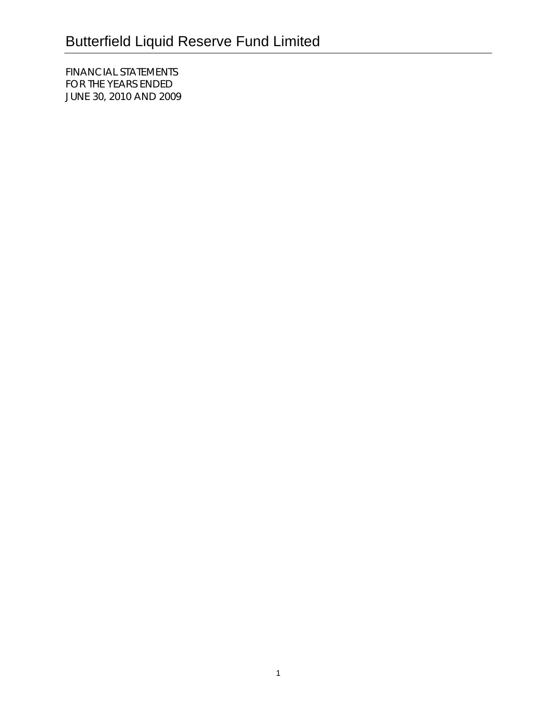FINANCIAL STATEMENTS FOR THE YEARS ENDED JUNE 30, 2010 AND 2009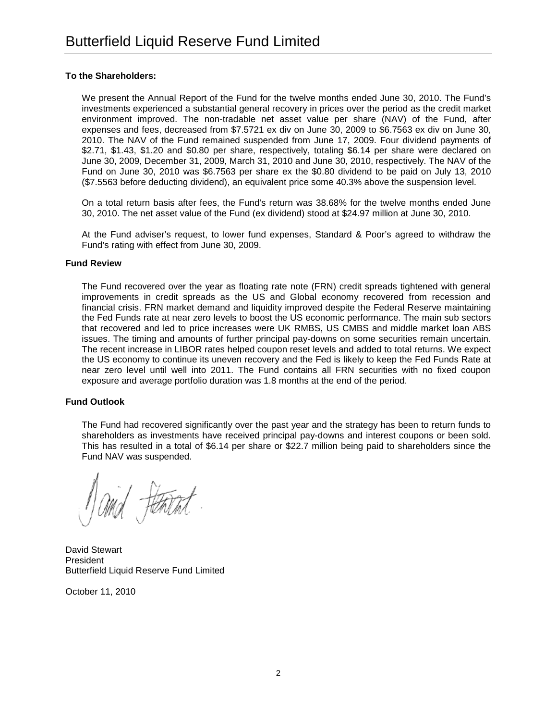# **To the Shareholders:**

We present the Annual Report of the Fund for the twelve months ended June 30, 2010. The Fund's investments experienced a substantial general recovery in prices over the period as the credit market environment improved. The non-tradable net asset value per share (NAV) of the Fund, after expenses and fees, decreased from \$7.5721 ex div on June 30, 2009 to \$6.7563 ex div on June 30, 2010. The NAV of the Fund remained suspended from June 17, 2009. Four dividend payments of \$2.71, \$1.43, \$1.20 and \$0.80 per share, respectively, totaling \$6.14 per share were declared on June 30, 2009, December 31, 2009, March 31, 2010 and June 30, 2010, respectively. The NAV of the Fund on June 30, 2010 was \$6.7563 per share ex the \$0.80 dividend to be paid on July 13, 2010 (\$7.5563 before deducting dividend), an equivalent price some 40.3% above the suspension level.

On a total return basis after fees, the Fund's return was 38.68% for the twelve months ended June 30, 2010. The net asset value of the Fund (ex dividend) stood at \$24.97 million at June 30, 2010.

At the Fund adviser's request, to lower fund expenses, Standard & Poor's agreed to withdraw the Fund's rating with effect from June 30, 2009.

### **Fund Review**

The Fund recovered over the year as floating rate note (FRN) credit spreads tightened with general improvements in credit spreads as the US and Global economy recovered from recession and financial crisis. FRN market demand and liquidity improved despite the Federal Reserve maintaining the Fed Funds rate at near zero levels to boost the US economic performance. The main sub sectors that recovered and led to price increases were UK RMBS, US CMBS and middle market loan ABS issues. The timing and amounts of further principal pay-downs on some securities remain uncertain. The recent increase in LIBOR rates helped coupon reset levels and added to total returns. We expect the US economy to continue its uneven recovery and the Fed is likely to keep the Fed Funds Rate at near zero level until well into 2011. The Fund contains all FRN securities with no fixed coupon exposure and average portfolio duration was 1.8 months at the end of the period.

### **Fund Outlook**

The Fund had recovered significantly over the past year and the strategy has been to return funds to shareholders as investments have received principal pay-downs and interest coupons or been sold. This has resulted in a total of \$6.14 per share or \$22.7 million being paid to shareholders since the Fund NAV was suspended.

tentat

David Stewart President Butterfield Liquid Reserve Fund Limited

October 11, 2010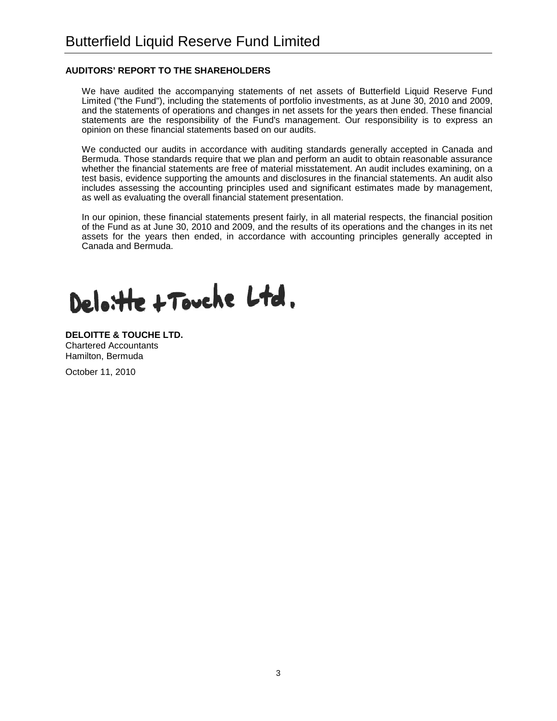# **AUDITORS' REPORT TO THE SHAREHOLDERS**

We have audited the accompanying statements of net assets of Butterfield Liquid Reserve Fund Limited ("the Fund"), including the statements of portfolio investments, as at June 30, 2010 and 2009, and the statements of operations and changes in net assets for the years then ended. These financial statements are the responsibility of the Fund's management. Our responsibility is to express an opinion on these financial statements based on our audits.

We conducted our audits in accordance with auditing standards generally accepted in Canada and Bermuda. Those standards require that we plan and perform an audit to obtain reasonable assurance whether the financial statements are free of material misstatement. An audit includes examining, on a test basis, evidence supporting the amounts and disclosures in the financial statements. An audit also includes assessing the accounting principles used and significant estimates made by management, as well as evaluating the overall financial statement presentation.

In our opinion, these financial statements present fairly, in all material respects, the financial position of the Fund as at June 30, 2010 and 2009, and the results of its operations and the changes in its net assets for the years then ended, in accordance with accounting principles generally accepted in Canada and Bermuda.

Deloitte + Touche Ltd.

**DELOITTE & TOUCHE LTD.** Chartered Accountants Hamilton, Bermuda October 11, 2010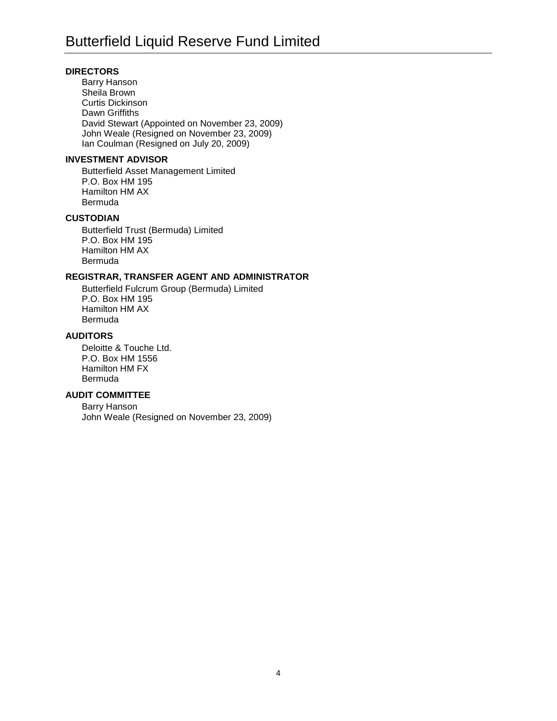# **DIRECTORS**

Barry Hanson Sheila Brown Curtis Dickinson Dawn Griffiths David Stewart (Appointed on November 23, 2009) John Weale (Resigned on November 23, 2009) Ian Coulman (Resigned on July 20, 2009)

#### **INVESTMENT ADVISOR**

Butterfield Asset Management Limited P.O. Box HM 195 Hamilton HM AX Bermuda

# **CUSTODIAN**

Butterfield Trust (Bermuda) Limited P.O. Box HM 195 Hamilton HM AX Bermuda

# **REGISTRAR, TRANSFER AGENT AND ADMINISTRATOR**

Butterfield Fulcrum Group (Bermuda) Limited P.O. Box HM 195 Hamilton HM AX Bermuda

# **AUDITORS**

Deloitte & Touche Ltd. P.O. Box HM 1556 Hamilton HM FX Bermuda

### **AUDIT COMMITTEE**

Barry Hanson John Weale (Resigned on November 23, 2009)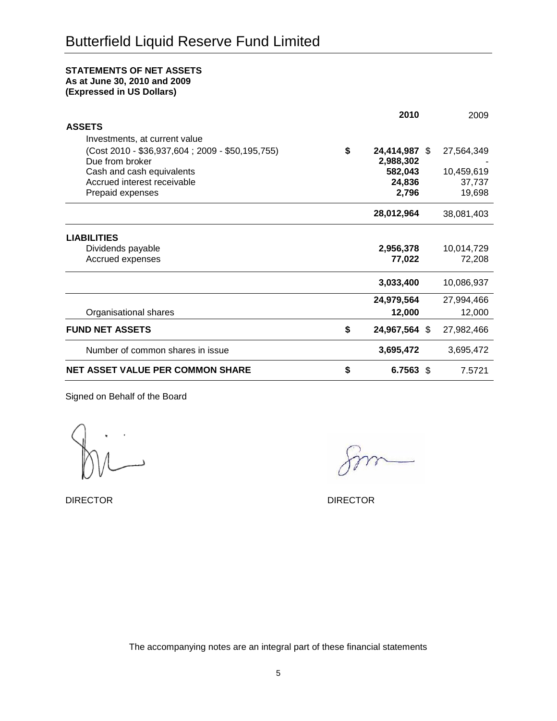### **STATEMENTS OF NET ASSETS As at June 30, 2010 and 2009**

**(Expressed in US Dollars)**

|                                                  | 2010                |      | 2009       |
|--------------------------------------------------|---------------------|------|------------|
| <b>ASSETS</b>                                    |                     |      |            |
| Investments, at current value                    |                     |      |            |
| (Cost 2010 - \$36,937,604 ; 2009 - \$50,195,755) | \$<br>24,414,987 \$ |      | 27,564,349 |
| Due from broker                                  | 2,988,302           |      |            |
| Cash and cash equivalents                        | 582,043             |      | 10,459,619 |
| Accrued interest receivable                      | 24,836              |      | 37,737     |
| Prepaid expenses                                 | 2,796               |      | 19,698     |
|                                                  | 28,012,964          |      | 38,081,403 |
| <b>LIABILITIES</b>                               |                     |      |            |
| Dividends payable                                | 2,956,378           |      | 10,014,729 |
| Accrued expenses                                 | 77,022              |      | 72,208     |
|                                                  | 3,033,400           |      | 10,086,937 |
|                                                  | 24,979,564          |      | 27,994,466 |
| Organisational shares                            | 12,000              |      | 12,000     |
| <b>FUND NET ASSETS</b>                           | \$<br>24,967,564 \$ |      | 27,982,466 |
| Number of common shares in issue                 | 3,695,472           |      | 3,695,472  |
| <b>NET ASSET VALUE PER COMMON SHARE</b>          | \$<br>6.7563        | - \$ | 7.5721     |

Signed on Behalf of the Board

DIRECTOR DIRECTOR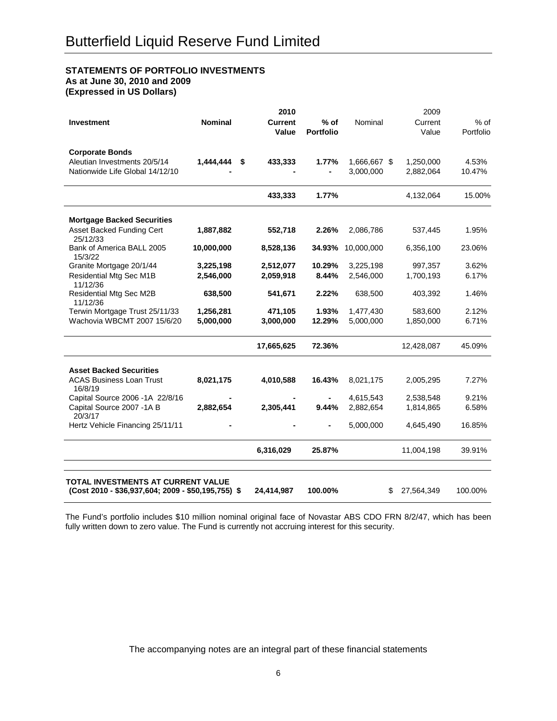# **STATEMENTS OF PORTFOLIO INVESTMENTS**

**As at June 30, 2010 and 2009**

**(Expressed in US Dollars)**

| <b>Investment</b>                                                                         | <b>Nominal</b> | 2010<br><b>Current</b><br>Value | $%$ of<br><b>Portfolio</b> | Nominal                   | 2009<br>Current<br>Value | $%$ of<br>Portfolio |
|-------------------------------------------------------------------------------------------|----------------|---------------------------------|----------------------------|---------------------------|--------------------------|---------------------|
| <b>Corporate Bonds</b><br>Aleutian Investments 20/5/14<br>Nationwide Life Global 14/12/10 | 1,444,444      | \$<br>433,333                   | 1.77%                      | 1,666,667 \$<br>3,000,000 | 1,250,000<br>2,882,064   | 4.53%<br>10.47%     |
|                                                                                           |                | 433,333                         | 1.77%                      |                           | 4,132,064                | 15.00%              |
| <b>Mortgage Backed Securities</b>                                                         |                |                                 |                            |                           |                          |                     |
| Asset Backed Funding Cert<br>25/12/33                                                     | 1,887,882      | 552,718                         | 2.26%                      | 2,086,786                 | 537,445                  | 1.95%               |
| Bank of America BALL 2005<br>15/3/22                                                      | 10,000,000     | 8,528,136                       | 34.93%                     | 10,000,000                | 6,356,100                | 23.06%              |
| Granite Mortgage 20/1/44                                                                  | 3,225,198      | 2,512,077                       | 10.29%                     | 3,225,198                 | 997,357                  | 3.62%               |
| Residential Mtg Sec M1B<br>11/12/36                                                       | 2,546,000      | 2,059,918                       | 8.44%                      | 2,546,000                 | 1,700,193                | 6.17%               |
| Residential Mtg Sec M2B<br>11/12/36                                                       | 638,500        | 541,671                         | 2.22%                      | 638,500                   | 403,392                  | 1.46%               |
| Terwin Mortgage Trust 25/11/33                                                            | 1,256,281      | 471,105                         | 1.93%                      | 1,477,430                 | 583,600                  | 2.12%               |
| Wachovia WBCMT 2007 15/6/20                                                               | 5,000,000      | 3,000,000                       | 12.29%                     | 5,000,000                 | 1,850,000                | 6.71%               |
|                                                                                           |                | 17,665,625                      | 72.36%                     |                           | 12,428,087               | 45.09%              |
| <b>Asset Backed Securities</b>                                                            |                |                                 |                            |                           |                          |                     |
| <b>ACAS Business Loan Trust</b><br>16/8/19                                                | 8,021,175      | 4,010,588                       | 16.43%                     | 8,021,175                 | 2,005,295                | 7.27%               |
| Capital Source 2006 -1A 22/8/16                                                           |                |                                 |                            | 4,615,543                 | 2,538,548                | 9.21%               |
| Capital Source 2007 -1A B<br>20/3/17                                                      | 2,882,654      | 2,305,441                       | 9.44%                      | 2,882,654                 | 1,814,865                | 6.58%               |
| Hertz Vehicle Financing 25/11/11                                                          |                |                                 |                            | 5,000,000                 | 4,645,490                | 16.85%              |
|                                                                                           |                | 6,316,029                       | 25.87%                     |                           | 11,004,198               | 39.91%              |
| TOTAL INVESTMENTS AT CURRENT VALUE<br>(Cost 2010 - \$36,937,604; 2009 - \$50,195,755) \$  |                | 24,414,987                      | 100.00%                    |                           | 27,564,349<br>\$         | 100.00%             |

The Fund's portfolio includes \$10 million nominal original face of Novastar ABS CDO FRN 8/2/47, which has been fully written down to zero value. The Fund is currently not accruing interest for this security.

The accompanying notes are an integral part of these financial statements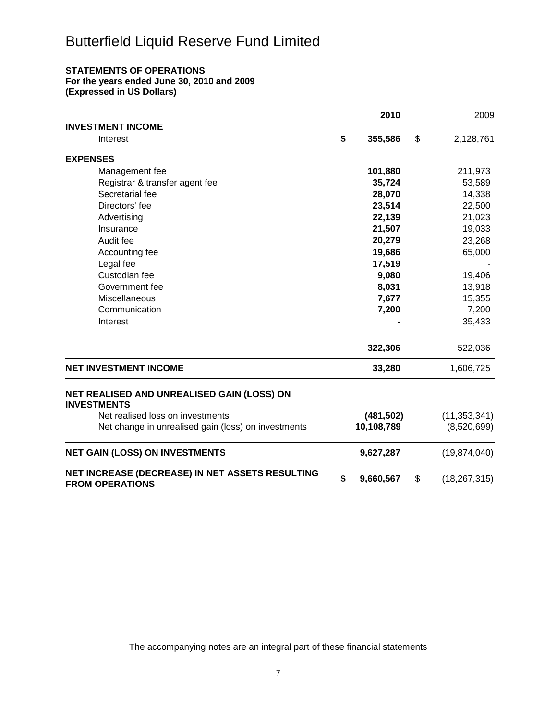# **STATEMENTS OF OPERATIONS**

**For the years ended June 30, 2010 and 2009**

**(Expressed in US Dollars)**

|                                                                           | 2010            | 2009                 |
|---------------------------------------------------------------------------|-----------------|----------------------|
| <b>INVESTMENT INCOME</b>                                                  |                 |                      |
| Interest                                                                  | \$<br>355,586   | \$<br>2,128,761      |
| <b>EXPENSES</b>                                                           |                 |                      |
| Management fee                                                            | 101,880         | 211,973              |
| Registrar & transfer agent fee                                            | 35,724          | 53,589               |
| Secretarial fee                                                           | 28,070          | 14,338               |
| Directors' fee                                                            | 23,514          | 22,500               |
| Advertising                                                               | 22,139          | 21,023               |
| Insurance                                                                 | 21,507          | 19,033               |
| Audit fee                                                                 | 20,279          | 23,268               |
| Accounting fee                                                            | 19,686          | 65,000               |
| Legal fee                                                                 | 17,519          |                      |
| Custodian fee                                                             | 9,080           | 19,406               |
| Government fee                                                            | 8,031           | 13,918               |
| Miscellaneous                                                             | 7,677           | 15,355               |
| Communication                                                             | 7,200           | 7,200                |
| Interest                                                                  |                 | 35,433               |
|                                                                           | 322,306         | 522,036              |
| <b>NET INVESTMENT INCOME</b>                                              | 33,280          | 1,606,725            |
| NET REALISED AND UNREALISED GAIN (LOSS) ON<br><b>INVESTMENTS</b>          |                 |                      |
| Net realised loss on investments                                          | (481, 502)      | (11, 353, 341)       |
| Net change in unrealised gain (loss) on investments                       | 10,108,789      | (8,520,699)          |
| <b>NET GAIN (LOSS) ON INVESTMENTS</b>                                     | 9,627,287       | (19, 874, 040)       |
| NET INCREASE (DECREASE) IN NET ASSETS RESULTING<br><b>FROM OPERATIONS</b> | \$<br>9,660,567 | \$<br>(18, 267, 315) |

The accompanying notes are an integral part of these financial statements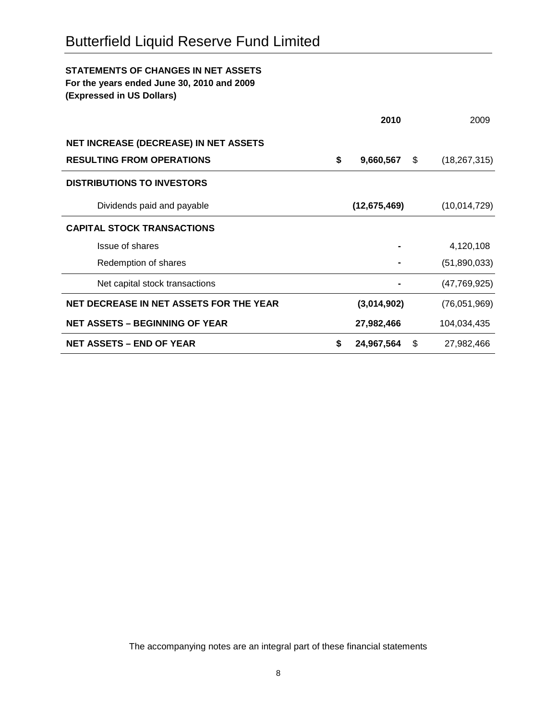# **STATEMENTS OF CHANGES IN NET ASSETS**

**For the years ended June 30, 2010 and 2009**

**(Expressed in US Dollars)**

|                                              | 2010             | 2009                 |
|----------------------------------------------|------------------|----------------------|
| <b>NET INCREASE (DECREASE) IN NET ASSETS</b> |                  |                      |
| <b>RESULTING FROM OPERATIONS</b>             | \$<br>9,660,567  | \$<br>(18, 267, 315) |
| <b>DISTRIBUTIONS TO INVESTORS</b>            |                  |                      |
| Dividends paid and payable                   | (12, 675, 469)   | (10,014,729)         |
| <b>CAPITAL STOCK TRANSACTIONS</b>            |                  |                      |
| Issue of shares                              |                  | 4,120,108            |
| Redemption of shares                         |                  | (51,890,033)         |
| Net capital stock transactions               |                  | (47, 769, 925)       |
| NET DECREASE IN NET ASSETS FOR THE YEAR      | (3,014,902)      | (76,051,969)         |
| <b>NET ASSETS – BEGINNING OF YEAR</b>        | 27,982,466       | 104,034,435          |
| <b>NET ASSETS – END OF YEAR</b>              | \$<br>24,967,564 | \$<br>27,982,466     |

The accompanying notes are an integral part of these financial statements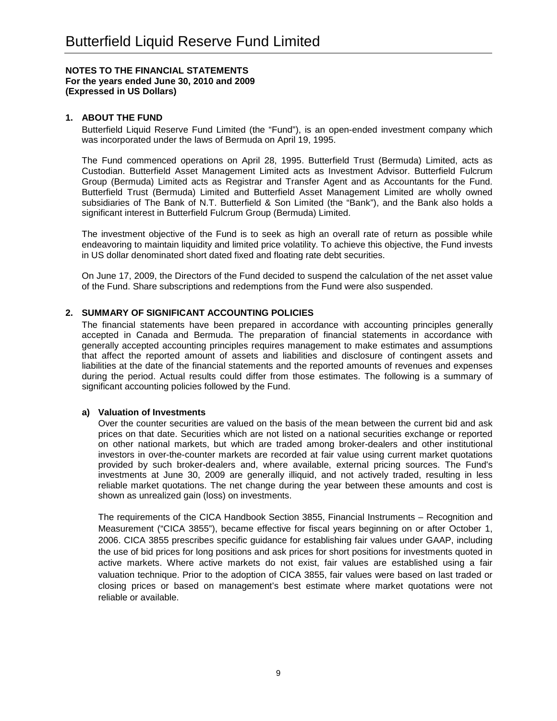### **1. ABOUT THE FUND**

Butterfield Liquid Reserve Fund Limited (the "Fund"), is an open-ended investment company which was incorporated under the laws of Bermuda on April 19, 1995.

The Fund commenced operations on April 28, 1995. Butterfield Trust (Bermuda) Limited, acts as Custodian. Butterfield Asset Management Limited acts as Investment Advisor. Butterfield Fulcrum Group (Bermuda) Limited acts as Registrar and Transfer Agent and as Accountants for the Fund. Butterfield Trust (Bermuda) Limited and Butterfield Asset Management Limited are wholly owned subsidiaries of The Bank of N.T. Butterfield & Son Limited (the "Bank"), and the Bank also holds a significant interest in Butterfield Fulcrum Group (Bermuda) Limited.

The investment objective of the Fund is to seek as high an overall rate of return as possible while endeavoring to maintain liquidity and limited price volatility. To achieve this objective, the Fund invests in US dollar denominated short dated fixed and floating rate debt securities.

On June 17, 2009, the Directors of the Fund decided to suspend the calculation of the net asset value of the Fund. Share subscriptions and redemptions from the Fund were also suspended.

# **2. SUMMARY OF SIGNIFICANT ACCOUNTING POLICIES**

The financial statements have been prepared in accordance with accounting principles generally accepted in Canada and Bermuda. The preparation of financial statements in accordance with generally accepted accounting principles requires management to make estimates and assumptions that affect the reported amount of assets and liabilities and disclosure of contingent assets and liabilities at the date of the financial statements and the reported amounts of revenues and expenses during the period. Actual results could differ from those estimates. The following is a summary of significant accounting policies followed by the Fund.

### **a) Valuation of Investments**

Over the counter securities are valued on the basis of the mean between the current bid and ask prices on that date. Securities which are not listed on a national securities exchange or reported on other national markets, but which are traded among broker-dealers and other institutional investors in over-the-counter markets are recorded at fair value using current market quotations provided by such broker-dealers and, where available, external pricing sources. The Fund's investments at June 30, 2009 are generally illiquid, and not actively traded, resulting in less reliable market quotations. The net change during the year between these amounts and cost is shown as unrealized gain (loss) on investments.

The requirements of the CICA Handbook Section 3855, Financial Instruments – Recognition and Measurement ("CICA 3855"), became effective for fiscal years beginning on or after October 1, 2006. CICA 3855 prescribes specific guidance for establishing fair values under GAAP, including the use of bid prices for long positions and ask prices for short positions for investments quoted in active markets. Where active markets do not exist, fair values are established using a fair valuation technique. Prior to the adoption of CICA 3855, fair values were based on last traded or closing prices or based on management's best estimate where market quotations were not reliable or available.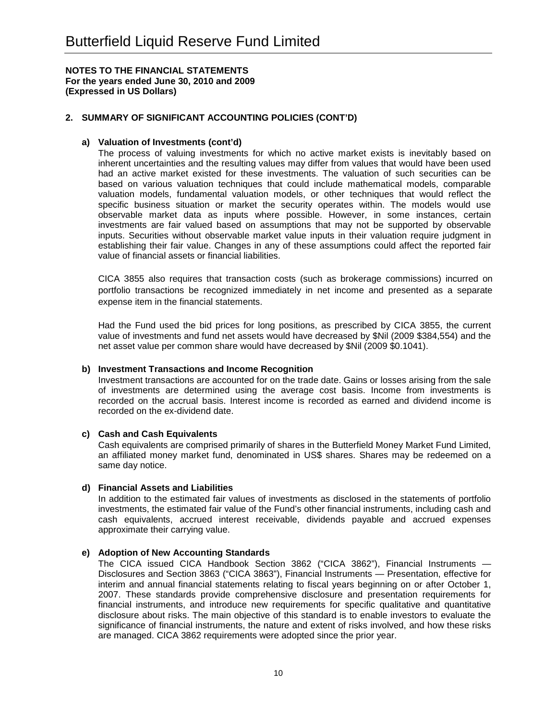# **2. SUMMARY OF SIGNIFICANT ACCOUNTING POLICIES (CONT'D)**

# **a) Valuation of Investments (cont'd)**

The process of valuing investments for which no active market exists is inevitably based on inherent uncertainties and the resulting values may differ from values that would have been used had an active market existed for these investments. The valuation of such securities can be based on various valuation techniques that could include mathematical models, comparable valuation models, fundamental valuation models, or other techniques that would reflect the specific business situation or market the security operates within. The models would use observable market data as inputs where possible. However, in some instances, certain investments are fair valued based on assumptions that may not be supported by observable inputs. Securities without observable market value inputs in their valuation require judgment in establishing their fair value. Changes in any of these assumptions could affect the reported fair value of financial assets or financial liabilities.

CICA 3855 also requires that transaction costs (such as brokerage commissions) incurred on portfolio transactions be recognized immediately in net income and presented as a separate expense item in the financial statements.

Had the Fund used the bid prices for long positions, as prescribed by CICA 3855, the current value of investments and fund net assets would have decreased by \$Nil (2009 \$384,554) and the net asset value per common share would have decreased by \$Nil (2009 \$0.1041).

### **b) Investment Transactions and Income Recognition**

Investment transactions are accounted for on the trade date. Gains or losses arising from the sale of investments are determined using the average cost basis. Income from investments is recorded on the accrual basis. Interest income is recorded as earned and dividend income is recorded on the ex-dividend date.

# **c) Cash and Cash Equivalents**

Cash equivalents are comprised primarily of shares in the Butterfield Money Market Fund Limited, an affiliated money market fund, denominated in US\$ shares. Shares may be redeemed on a same day notice.

### **d) Financial Assets and Liabilities**

In addition to the estimated fair values of investments as disclosed in the statements of portfolio investments, the estimated fair value of the Fund's other financial instruments, including cash and cash equivalents, accrued interest receivable, dividends payable and accrued expenses approximate their carrying value.

### **e) Adoption of New Accounting Standards**

The CICA issued CICA Handbook Section 3862 ("CICA 3862"), Financial Instruments — Disclosures and Section 3863 ("CICA 3863"), Financial Instruments — Presentation, effective for interim and annual financial statements relating to fiscal years beginning on or after October 1, 2007. These standards provide comprehensive disclosure and presentation requirements for financial instruments, and introduce new requirements for specific qualitative and quantitative disclosure about risks. The main objective of this standard is to enable investors to evaluate the significance of financial instruments, the nature and extent of risks involved, and how these risks are managed. CICA 3862 requirements were adopted since the prior year.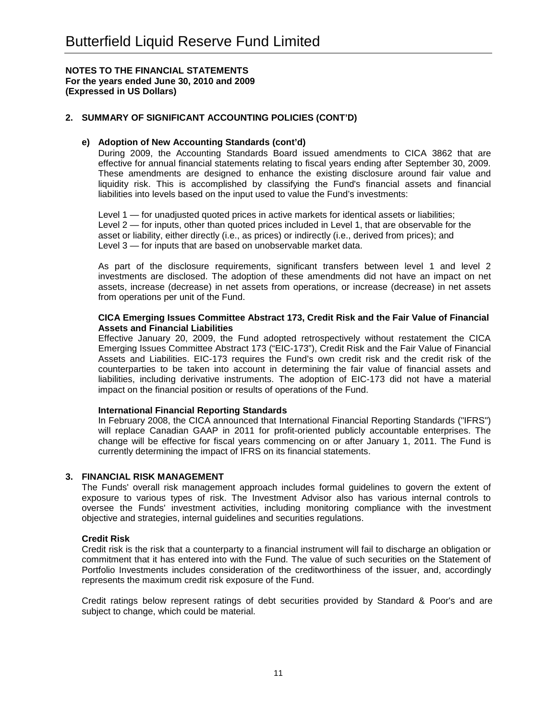# **2. SUMMARY OF SIGNIFICANT ACCOUNTING POLICIES (CONT'D)**

### **e) Adoption of New Accounting Standards (cont'd)**

During 2009, the Accounting Standards Board issued amendments to CICA 3862 that are effective for annual financial statements relating to fiscal years ending after September 30, 2009. These amendments are designed to enhance the existing disclosure around fair value and liquidity risk. This is accomplished by classifying the Fund's financial assets and financial liabilities into levels based on the input used to value the Fund's investments:

Level 1 — for unadjusted quoted prices in active markets for identical assets or liabilities; Level 2 — for inputs, other than quoted prices included in Level 1, that are observable for the asset or liability, either directly (i.e., as prices) or indirectly (i.e., derived from prices); and Level 3 — for inputs that are based on unobservable market data.

As part of the disclosure requirements, significant transfers between level 1 and level 2 investments are disclosed. The adoption of these amendments did not have an impact on net assets, increase (decrease) in net assets from operations, or increase (decrease) in net assets from operations per unit of the Fund.

#### **CICA Emerging Issues Committee Abstract 173, Credit Risk and the Fair Value of Financial Assets and Financial Liabilities**

Effective January 20, 2009, the Fund adopted retrospectively without restatement the CICA Emerging Issues Committee Abstract 173 ("EIC-173"), Credit Risk and the Fair Value of Financial Assets and Liabilities. EIC-173 requires the Fund's own credit risk and the credit risk of the counterparties to be taken into account in determining the fair value of financial assets and liabilities, including derivative instruments. The adoption of EIC-173 did not have a material impact on the financial position or results of operations of the Fund.

### **International Financial Reporting Standards**

In February 2008, the CICA announced that International Financial Reporting Standards ("IFRS") will replace Canadian GAAP in 2011 for profit-oriented publicly accountable enterprises. The change will be effective for fiscal years commencing on or after January 1, 2011. The Fund is currently determining the impact of IFRS on its financial statements.

### **3. FINANCIAL RISK MANAGEMENT**

The Funds' overall risk management approach includes formal guidelines to govern the extent of exposure to various types of risk. The Investment Advisor also has various internal controls to oversee the Funds' investment activities, including monitoring compliance with the investment objective and strategies, internal guidelines and securities regulations.

### **Credit Risk**

Credit risk is the risk that a counterparty to a financial instrument will fail to discharge an obligation or commitment that it has entered into with the Fund. The value of such securities on the Statement of Portfolio Investments includes consideration of the creditworthiness of the issuer, and, accordingly represents the maximum credit risk exposure of the Fund.

Credit ratings below represent ratings of debt securities provided by Standard & Poor's and are subject to change, which could be material.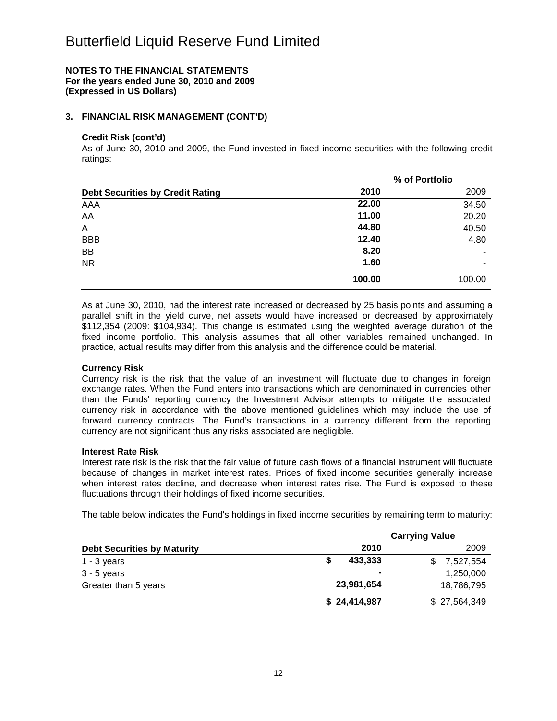# **3. FINANCIAL RISK MANAGEMENT (CONT'D)**

### **Credit Risk (cont'd)**

As of June 30, 2010 and 2009, the Fund invested in fixed income securities with the following credit ratings:

|                                         | % of Portfolio |                          |  |  |
|-----------------------------------------|----------------|--------------------------|--|--|
| <b>Debt Securities by Credit Rating</b> | 2010           | 2009                     |  |  |
| AAA                                     | 22.00          | 34.50                    |  |  |
| AA                                      | 11.00          | 20.20                    |  |  |
| A                                       | 44.80          | 40.50                    |  |  |
| <b>BBB</b>                              | 12.40          | 4.80                     |  |  |
| BB                                      | 8.20           | $\overline{\phantom{a}}$ |  |  |
| <b>NR</b>                               | 1.60           | $\overline{\phantom{a}}$ |  |  |
|                                         | 100.00         | 100.00                   |  |  |

As at June 30, 2010, had the interest rate increased or decreased by 25 basis points and assuming a parallel shift in the yield curve, net assets would have increased or decreased by approximately \$112,354 (2009: \$104,934). This change is estimated using the weighted average duration of the fixed income portfolio. This analysis assumes that all other variables remained unchanged. In practice, actual results may differ from this analysis and the difference could be material.

# **Currency Risk**

Currency risk is the risk that the value of an investment will fluctuate due to changes in foreign exchange rates. When the Fund enters into transactions which are denominated in currencies other than the Funds' reporting currency the Investment Advisor attempts to mitigate the associated currency risk in accordance with the above mentioned guidelines which may include the use of forward currency contracts. The Fund's transactions in a currency different from the reporting currency are not significant thus any risks associated are negligible.

### **Interest Rate Risk**

Interest rate risk is the risk that the fair value of future cash flows of a financial instrument will fluctuate because of changes in market interest rates. Prices of fixed income securities generally increase when interest rates decline, and decrease when interest rates rise. The Fund is exposed to these fluctuations through their holdings of fixed income securities.

The table below indicates the Fund's holdings in fixed income securities by remaining term to maturity:

|                                    | <b>Carrying Value</b> |              |  |  |  |  |
|------------------------------------|-----------------------|--------------|--|--|--|--|
| <b>Debt Securities by Maturity</b> | 2010                  | 2009         |  |  |  |  |
| $1 - 3$ years                      | 433.333               | 7,527,554    |  |  |  |  |
| $3 - 5$ years                      | $\blacksquare$        | 1,250,000    |  |  |  |  |
| Greater than 5 years               | 23,981,654            | 18,786,795   |  |  |  |  |
|                                    | \$24,414,987          | \$27,564,349 |  |  |  |  |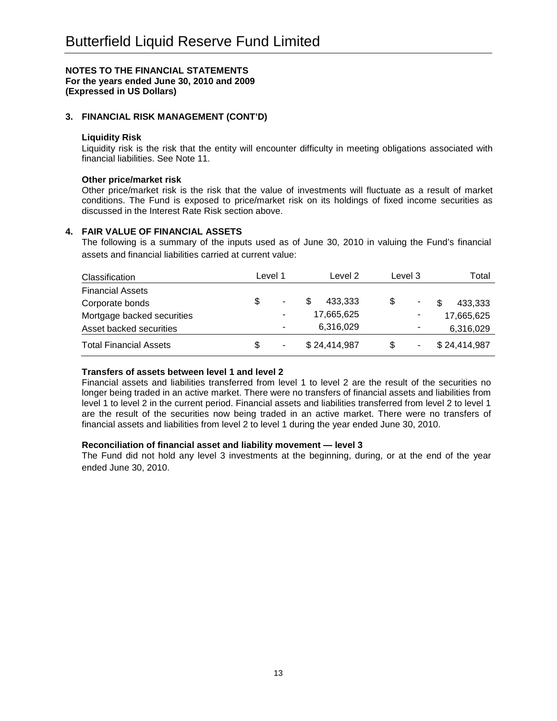# **3. FINANCIAL RISK MANAGEMENT (CONT'D)**

### **Liquidity Risk**

Liquidity risk is the risk that the entity will encounter difficulty in meeting obligations associated with financial liabilities. See Note 11.

### **Other price/market risk**

Other price/market risk is the risk that the value of investments will fluctuate as a result of market conditions. The Fund is exposed to price/market risk on its holdings of fixed income securities as discussed in the Interest Rate Risk section above.

### **4. FAIR VALUE OF FINANCIAL ASSETS**

The following is a summary of the inputs used as of June 30, 2010 in valuing the Fund's financial assets and financial liabilities carried at current value:

| <b>Classification</b>         |     | Level 1 | Level 2      | Level 3 | Total        |
|-------------------------------|-----|---------|--------------|---------|--------------|
| <b>Financial Assets</b>       |     |         |              |         |              |
| Corporate bonds               |     | ٠       | 433.333      | \$      | 433,333      |
| Mortgage backed securities    |     |         | 17,665,625   |         | 17,665,625   |
| Asset backed securities       |     | ۰       | 6,316,029    |         | 6,316,029    |
| <b>Total Financial Assets</b> | \$. | ٠       | \$24,414,987 | S       | \$24,414,987 |

### **Transfers of assets between level 1 and level 2**

Financial assets and liabilities transferred from level 1 to level 2 are the result of the securities no longer being traded in an active market. There were no transfers of financial assets and liabilities from level 1 to level 2 in the current period. Financial assets and liabilities transferred from level 2 to level 1 are the result of the securities now being traded in an active market. There were no transfers of financial assets and liabilities from level 2 to level 1 during the year ended June 30, 2010.

### **Reconciliation of financial asset and liability movement — level 3**

The Fund did not hold any level 3 investments at the beginning, during, or at the end of the year ended June 30, 2010.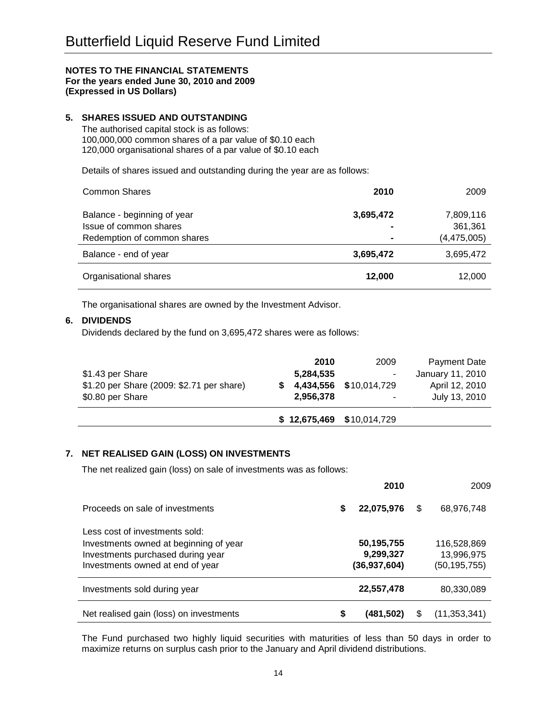# **5. SHARES ISSUED AND OUTSTANDING**

The authorised capital stock is as follows: 100,000,000 common shares of a par value of \$0.10 each 120,000 organisational shares of a par value of \$0.10 each

Details of shares issued and outstanding during the year are as follows:

| <b>Common Shares</b>                                  | 2010      | 2009                     |
|-------------------------------------------------------|-----------|--------------------------|
| Balance - beginning of year                           | 3,695,472 | 7,809,116                |
| Issue of common shares<br>Redemption of common shares | ۰         | 361,361<br>(4, 475, 005) |
| Balance - end of year                                 | 3,695,472 | 3,695,472                |
| Organisational shares                                 | 12,000    | 12,000                   |

The organisational shares are owned by the Investment Advisor.

### **6. DIVIDENDS**

Dividends declared by the fund on 3,695,472 shares were as follows:

|                                           | $$12,675,469$ $$10,014,729$ |                        |                  |
|-------------------------------------------|-----------------------------|------------------------|------------------|
| \$0.80 per Share                          | 2,956,378                   | ٠                      | July 13, 2010    |
| \$1.20 per Share (2009: \$2.71 per share) |                             | 4,434,556 \$10,014,729 | April 12, 2010   |
| \$1.43 per Share                          | 5,284,535                   | ۰                      | January 11, 2010 |
|                                           | 2010                        | 2009                   | Payment Date     |

# **7. NET REALISED GAIN (LOSS) ON INVESTMENTS**

The net realized gain (loss) on sale of investments was as follows:

|                                                                                                                                                   |   | 2010                                      |     | 2009                                      |
|---------------------------------------------------------------------------------------------------------------------------------------------------|---|-------------------------------------------|-----|-------------------------------------------|
| Proceeds on sale of investments                                                                                                                   | S | 22,075,976                                | \$  | 68,976,748                                |
| Less cost of investments sold:<br>Investments owned at beginning of year<br>Investments purchased during year<br>Investments owned at end of year |   | 50,195,755<br>9,299,327<br>(36, 937, 604) |     | 116,528,869<br>13,996,975<br>(50,195,755) |
| Investments sold during year                                                                                                                      |   | 22,557,478                                |     | 80,330,089                                |
| Net realised gain (loss) on investments                                                                                                           | S | (481,502)                                 | \$. | (11, 353, 341)                            |

The Fund purchased two highly liquid securities with maturities of less than 50 days in order to maximize returns on surplus cash prior to the January and April dividend distributions.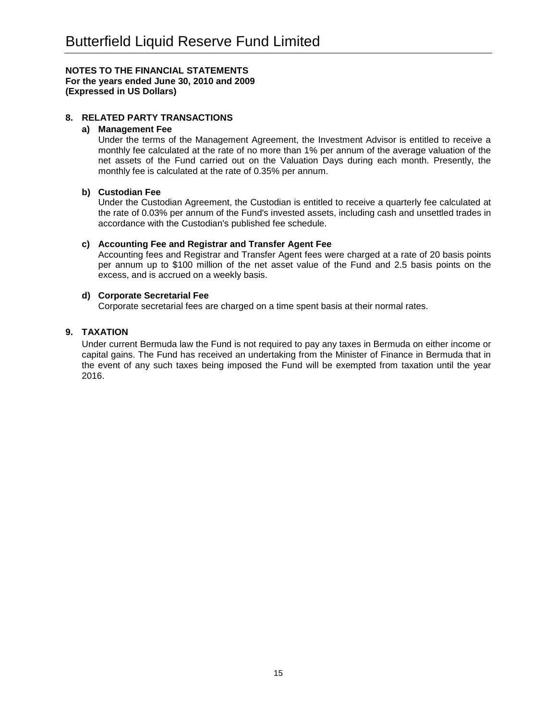# **8. RELATED PARTY TRANSACTIONS**

#### **a) Management Fee**

Under the terms of the Management Agreement, the Investment Advisor is entitled to receive a monthly fee calculated at the rate of no more than 1% per annum of the average valuation of the net assets of the Fund carried out on the Valuation Days during each month. Presently, the monthly fee is calculated at the rate of 0.35% per annum.

### **b) Custodian Fee**

Under the Custodian Agreement, the Custodian is entitled to receive a quarterly fee calculated at the rate of 0.03% per annum of the Fund's invested assets, including cash and unsettled trades in accordance with the Custodian's published fee schedule.

### **c) Accounting Fee and Registrar and Transfer Agent Fee**

Accounting fees and Registrar and Transfer Agent fees were charged at a rate of 20 basis points per annum up to \$100 million of the net asset value of the Fund and 2.5 basis points on the excess, and is accrued on a weekly basis.

### **d) Corporate Secretarial Fee**

Corporate secretarial fees are charged on a time spent basis at their normal rates.

### **9. TAXATION**

Under current Bermuda law the Fund is not required to pay any taxes in Bermuda on either income or capital gains. The Fund has received an undertaking from the Minister of Finance in Bermuda that in the event of any such taxes being imposed the Fund will be exempted from taxation until the year 2016.